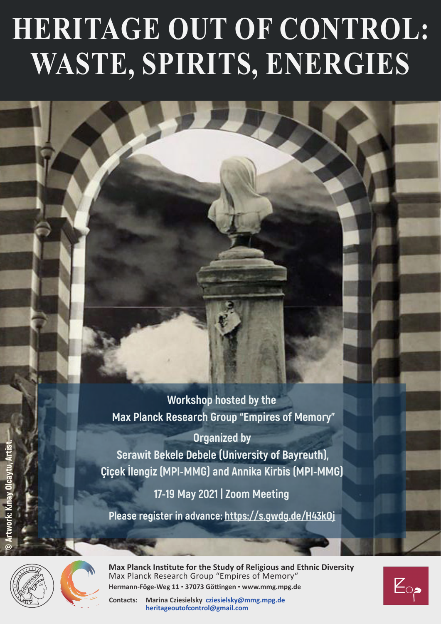# **HERITAGE OUT OF CONTROL: WASTE, SPIRITS, ENERGIES**

**Workshop hosted by the Max Planck Research Group "Empires of Memory"**

**Organized by Serawit Bekele Debele (University of Bayreuth), Çiçek İlengiz (MPI-MMG) and Annika Kirbis (MPI-MMG)**

**17-19 May 2021 | Zoom Meeting**

**Please register in advance:<https://s.gwdg.de/H43kOj>**



**Max Planck Institute for the Study of Religious and Ethnic Diversity** Max Planck Research Group "Empires of Memory" **Hermann-Föge-Weg 11 ▪ 37073 Göttingen ▪ www.mmg.mpg.de**

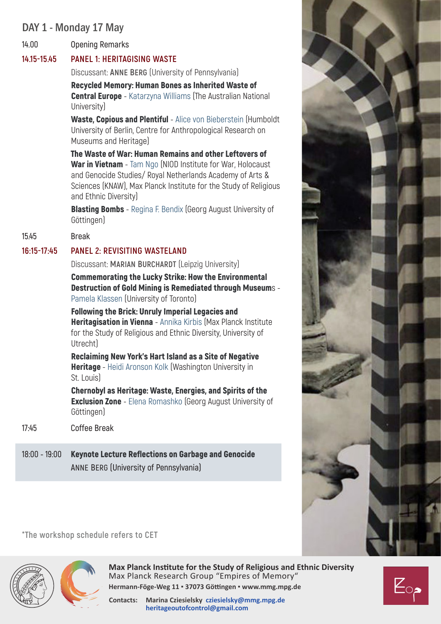# DAY 1 - Monday 17 May

**14.00 Opening Remarks**

## **14.15-15.45 PANEL 1: HERITAGISING WASTE**

Discussant: **Anne Berg** (University of Pennsylvania)

Recycled Memory: Human Bones as Inherited Waste of **Central Europe** - Katarzyna Williams (The Australian National University)

Waste, Copious and Plentiful - Alice von Bieberstein (Humboldt University of Berlin, Centre for Anthropological Research on Museums and Heritage)

The Waste of War: Human Remains and other Leftovers of War in Vietnam - Tam Ngo (NIOD Institute for War, Holocaust and Genocide Studies/ Royal Netherlands Academy of Arts & Sciences (KNAW), Max Planck Institute for the Study of Religious and Ethnic Diversity)

**Blasting Bombs** - Regina F. Bendix (Georg August University of Göttingen)

### **15.45 Break**

## **16:15-17:45 PANEL 2: REVISITING WASTELAND**

Discussant: **Marian Burchardt** (Leipzig University)

Commemorating the Lucky Strike: How the Environmental Destruction of Gold Mining is Remediated through Museums - Pamela Klassen (University of Toronto)

Following the Brick: Unruly Imperial Legacies and **Heritagisation in Vienna** - Annika Kirbis (Max Planck Institute for the Study of Religious and Ethnic Diversity, University of Utrecht)

Reclaiming New York's Hart Island as a Site of Negative **Heritage** - Heidi Aronson Kolk (Washington University in St. Louis)

Chernobyl as Heritage: Waste, Energies, and Spirits of the **Exclusion Zone** - Elena Romashko (Georg August University of Göttingen)

- **17:45 Coffee Break**
- **18:00 19:00** Keynote Lecture Reflections on Garbage and Genocide **Anne Berg (University of Pennsylvania)**



**\*The workshop schedule refers to CET** 



**Max Planck Institute for the Study of Religious and Ethnic Diversity** Max Planck Research Group "Empires of Memory" **Hermann-Föge-Weg 11 ▪ 37073 Göttingen ▪ www.mmg.mpg.de**

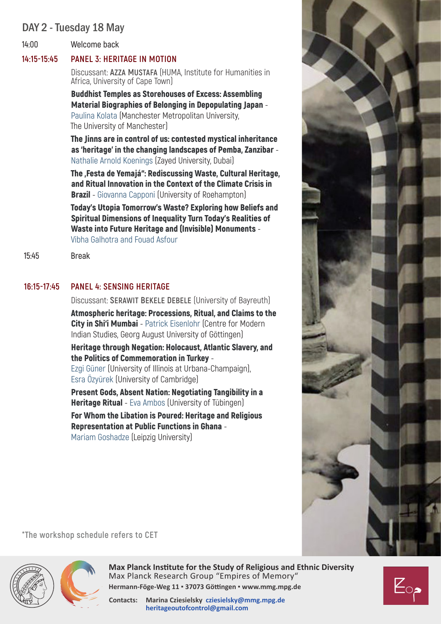## DAY 2 - Tuesday 18 May

**14:00 Welcome back**

#### **14:15-15:45 PANEL 3: HERITAGE IN MOTION**

Discussant: **Azza Mustafa** (HUMA, Institute for Humanities in Africa, University of Cape Town)

Buddhist Temples as Storehouses of Excess: Assembling Material Biographies of Belonging in Depopulating Japan - Paulina Kolata (Manchester Metropolitan University, The University of Manchester)

The Jinns are in control of us: contested mystical inheritance as 'heritage' in the changing landscapes of Pemba, Zanzibar - Nathalie Arnold Koenings (Zayed University, Dubai)

The , Festa de Yemajá": Rediscussing Waste, Cultural Heritage, and Ritual Innovation in the Context of the Climate Crisis in **Brazil** - Giovanna Capponi (University of Roehampton)

Today's Utopia Tomorrow's Waste? Exploring how Beliefs and Spiritual Dimensions of Inequality Turn Today's Realities of Waste into Future Heritage and (Invisible) Monuments - Vibha Galhotra and Fouad Asfour

 **15:45 Break**

#### **16:15-17:45 PANEL 4: SENSING HERITAGE**

Discussant: **Serawit Bekele Debele** (University of Bayreuth)

Atmospheric heritage: Processions, Ritual, and Claims to the City in Shi'i Mumbai - Patrick Eisenlohr (Centre for Modern Indian Studies, Georg August University of Göttingen)

Heritage through Negation: Holocaust, Atlantic Slavery, and the Politics of Commemoration in Turkey -

Ezgi Güner (University of Illinois at Urbana-Champaign), Esra Özyürek (University of Cambridge)

Present Gods, Absent Nation: Negotiating Tangibility in a **Heritage Ritual** - Eva Ambos (University of Tübingen)

For Whom the Libation is Poured: Heritage and Religious Representation at Public Functions in Ghana - Mariam Goshadze (Leipzig University)



**\*The workshop schedule refers to CET** 





**Max Planck Institute for the Study of Religious and Ethnic Diversity** Max Planck Research Group "Empires of Memory" **Hermann-Föge-Weg 11 ▪ 37073 Göttingen ▪ www.mmg.mpg.de**